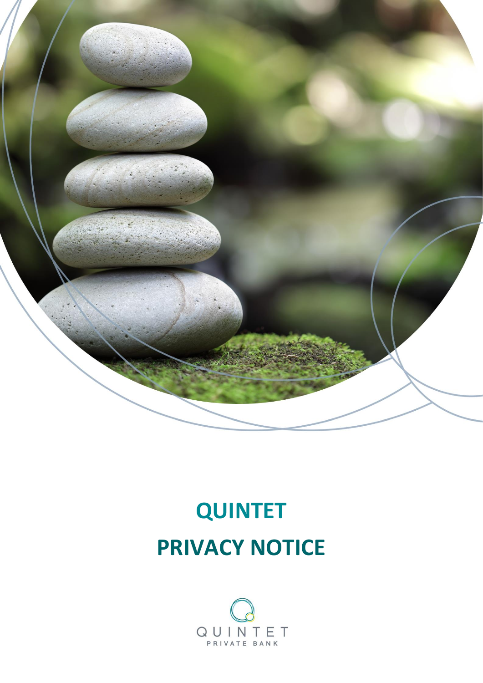

# **QUINTET PRIVACY NOTICE**

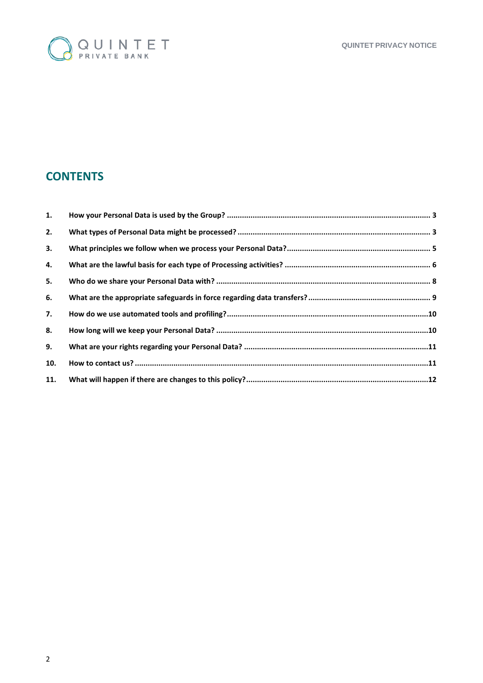

## **CONTENTS**

| 1.  |  |
|-----|--|
| 2.  |  |
| 3.  |  |
| 4.  |  |
| 5.  |  |
| 6.  |  |
| 7.  |  |
| 8.  |  |
| 9.  |  |
| 10. |  |
| 11. |  |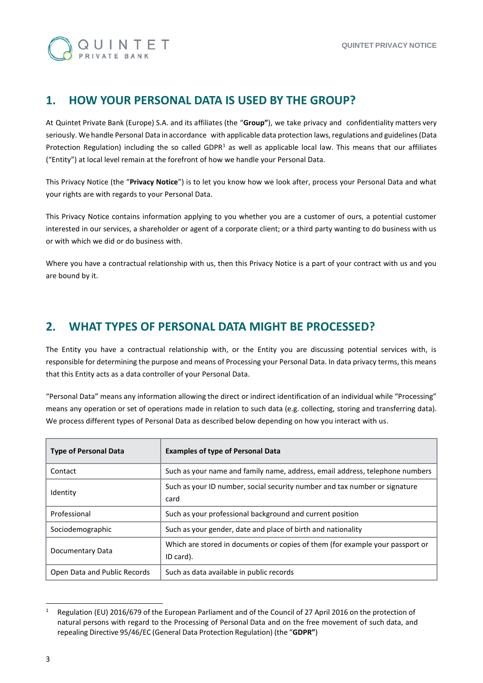

## <span id="page-2-0"></span>**1. HOW YOUR PERSONAL DATA IS USED BY THE GROUP?**

At Quintet Private Bank (Europe) S.A. and its affiliates (the "**Group"**), we take privacy and confidentiality matters very seriously. We handle Personal Data in accordance with applicable data protection laws, regulations and guidelines (Data Protection Regulation) including the so called GDPR<sup>1</sup> as well as applicable local law. This means that our affiliates ("Entity") at local level remain at the forefront of how we handle your Personal Data.

This Privacy Notice (the "**Privacy Notice**") is to let you know how we look after, process your Personal Data and what your rights are with regards to your Personal Data.

This Privacy Notice contains information applying to you whether you are a customer of ours, a potential customer interested in our services, a shareholder or agent of a corporate client; or a third party wanting to do business with us or with which we did or do business with.

Where you have a contractual relationship with us, then this Privacy Notice is a part of your contract with us and you are bound by it.

## <span id="page-2-1"></span>**2. WHAT TYPES OF PERSONAL DATA MIGHT BE PROCESSED?**

The Entity you have a contractual relationship with, or the Entity you are discussing potential services with, is responsible for determining the purpose and means of Processing your Personal Data. In data privacy terms, this means that this Entity acts as a data controller of your Personal Data.

"Personal Data" means any information allowing the direct or indirect identification of an individual while "Processing" means any operation or set of operations made in relation to such data (e.g. collecting, storing and transferring data). We process different types of Personal Data as described below depending on how you interact with us.

| <b>Type of Personal Data</b> | <b>Examples of type of Personal Data</b>                                                   |
|------------------------------|--------------------------------------------------------------------------------------------|
| Contact                      | Such as your name and family name, address, email address, telephone numbers               |
| Identity                     | Such as your ID number, social security number and tax number or signature<br>card         |
| Professional                 | Such as your professional background and current position                                  |
| Sociodemographic             | Such as your gender, date and place of birth and nationality                               |
| Documentary Data             | Which are stored in documents or copies of them (for example your passport or<br>ID card). |
| Open Data and Public Records | Such as data available in public records                                                   |

<sup>1</sup> <sup>1</sup> Regulation (EU) 2016/679 of the European Parliament and of the Council of 27 April 2016 on the protection of natural persons with regard to the Processing of Personal Data and on the free movement of such data, and repealing Directive 95/46/EC (General Data Protection Regulation) (the "**GDPR"**)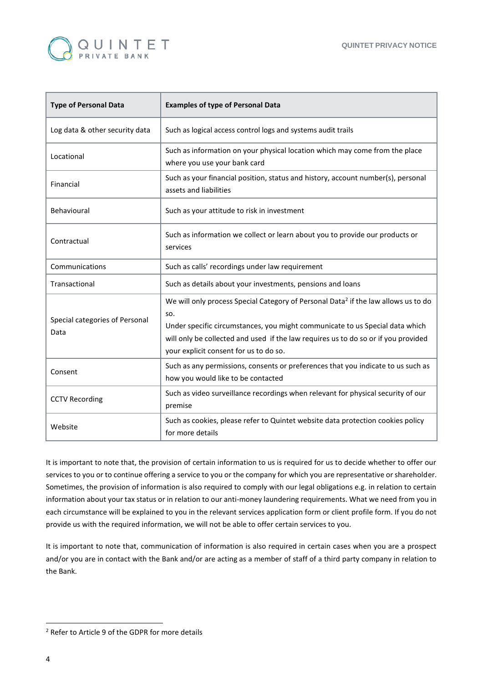

| <b>Type of Personal Data</b>           | <b>Examples of type of Personal Data</b>                                                                                                                                                                                                                                                                              |
|----------------------------------------|-----------------------------------------------------------------------------------------------------------------------------------------------------------------------------------------------------------------------------------------------------------------------------------------------------------------------|
| Log data & other security data         | Such as logical access control logs and systems audit trails                                                                                                                                                                                                                                                          |
| Locational                             | Such as information on your physical location which may come from the place<br>where you use your bank card                                                                                                                                                                                                           |
| Financial                              | Such as your financial position, status and history, account number(s), personal<br>assets and liabilities                                                                                                                                                                                                            |
| Behavioural                            | Such as your attitude to risk in investment                                                                                                                                                                                                                                                                           |
| Contractual                            | Such as information we collect or learn about you to provide our products or<br>services                                                                                                                                                                                                                              |
| Communications                         | Such as calls' recordings under law requirement                                                                                                                                                                                                                                                                       |
| Transactional                          | Such as details about your investments, pensions and loans                                                                                                                                                                                                                                                            |
| Special categories of Personal<br>Data | We will only process Special Category of Personal Data <sup>2</sup> if the law allows us to do<br>SO.<br>Under specific circumstances, you might communicate to us Special data which<br>will only be collected and used if the law requires us to do so or if you provided<br>your explicit consent for us to do so. |
| Consent                                | Such as any permissions, consents or preferences that you indicate to us such as<br>how you would like to be contacted                                                                                                                                                                                                |
| <b>CCTV Recording</b>                  | Such as video surveillance recordings when relevant for physical security of our<br>premise                                                                                                                                                                                                                           |
| Website                                | Such as cookies, please refer to Quintet website data protection cookies policy<br>for more details                                                                                                                                                                                                                   |

It is important to note that, the provision of certain information to us is required for us to decide whether to offer our services to you or to continue offering a service to you or the company for which you are representative or shareholder. Sometimes, the provision of information is also required to comply with our legal obligations e.g. in relation to certain information about your tax status or in relation to our anti-money laundering requirements. What we need from you in each circumstance will be explained to you in the relevant services application form or client profile form. If you do not provide us with the required information, we will not be able to offer certain services to you.

It is important to note that, communication of information is also required in certain cases when you are a prospect and/or you are in contact with the Bank and/or are acting as a member of staff of a third party company in relation to the Bank.

**.** 

<sup>2</sup> Refer to Article 9 of the GDPR for more details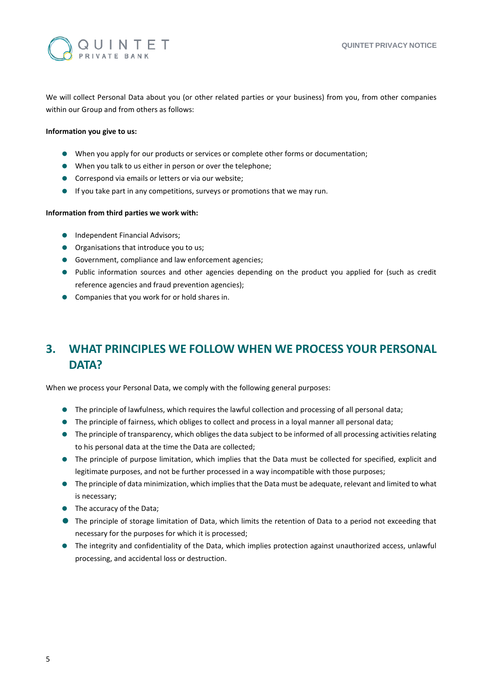

We will collect Personal Data about you (or other related parties or your business) from you, from other companies within our Group and from others as follows:

#### **Information you give to us:**

- When you apply for our products or services or complete other forms or documentation;
- When you talk to us either in person or over the telephone;
- **Correspond via emails or letters or via our website;**
- If you take part in any competitions, surveys or promotions that we may run.

#### **Information from third parties we work with:**

- **Independent Financial Advisors;**
- **Organisations that introduce you to us;**
- Government, compliance and law enforcement agencies;
- Public information sources and other agencies depending on the product you applied for (such as credit reference agencies and fraud prevention agencies);
- **Companies that you work for or hold shares in.**

# <span id="page-4-0"></span>**3. WHAT PRINCIPLES WE FOLLOW WHEN WE PROCESS YOUR PERSONAL DATA?**

When we process your Personal Data, we comply with the following general purposes:

- The principle of lawfulness, which requires the lawful collection and processing of all personal data;
- The principle of fairness, which obliges to collect and process in a loyal manner all personal data;
- The principle of transparency, which obliges the data subject to be informed of all processing activities relating to his personal data at the time the Data are collected;
- The principle of purpose limitation, which implies that the Data must be collected for specified, explicit and legitimate purposes, and not be further processed in a way incompatible with those purposes;
- The principle of data minimization, which implies that the Data must be adequate, relevant and limited to what is necessary;
- The accuracy of the Data;
- The principle of storage limitation of Data, which limits the retention of Data to a period not exceeding that necessary for the purposes for which it is processed;
- The integrity and confidentiality of the Data, which implies protection against unauthorized access, unlawful processing, and accidental loss or destruction.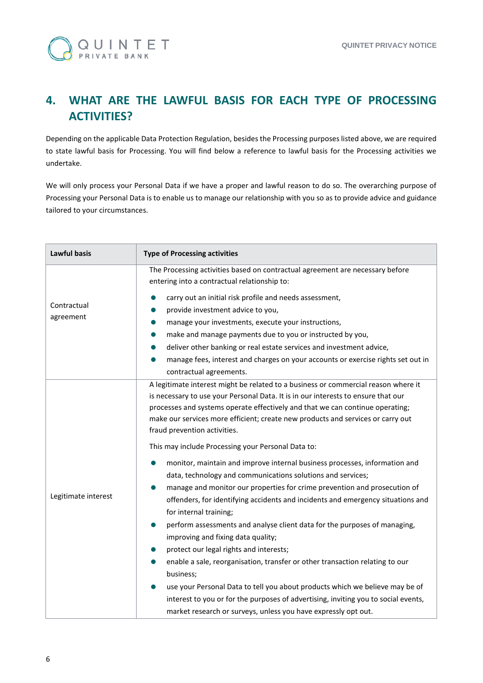

# <span id="page-5-0"></span>**4. WHAT ARE THE LAWFUL BASIS FOR EACH TYPE OF PROCESSING ACTIVITIES?**

Depending on the applicable Data Protection Regulation, besides the Processing purposes listed above, we are required to state lawful basis for Processing. You will find below a reference to lawful basis for the Processing activities we undertake.

We will only process your Personal Data if we have a proper and lawful reason to do so. The overarching purpose of Processing your Personal Data is to enable us to manage our relationship with you so as to provide advice and guidance tailored to your circumstances.

| <b>Lawful basis</b>      | <b>Type of Processing activities</b>                                                                                                                                                                                                                                                                                                                                                                                                                                                                                                                                                                                                                                                                                                                                                       |
|--------------------------|--------------------------------------------------------------------------------------------------------------------------------------------------------------------------------------------------------------------------------------------------------------------------------------------------------------------------------------------------------------------------------------------------------------------------------------------------------------------------------------------------------------------------------------------------------------------------------------------------------------------------------------------------------------------------------------------------------------------------------------------------------------------------------------------|
|                          | The Processing activities based on contractual agreement are necessary before<br>entering into a contractual relationship to:                                                                                                                                                                                                                                                                                                                                                                                                                                                                                                                                                                                                                                                              |
| Contractual<br>agreement | carry out an initial risk profile and needs assessment,<br>0<br>provide investment advice to you,<br>manage your investments, execute your instructions,<br>make and manage payments due to you or instructed by you,<br>deliver other banking or real estate services and investment advice,<br>manage fees, interest and charges on your accounts or exercise rights set out in<br>contractual agreements.                                                                                                                                                                                                                                                                                                                                                                               |
| Legitimate interest      | A legitimate interest might be related to a business or commercial reason where it<br>is necessary to use your Personal Data. It is in our interests to ensure that our<br>processes and systems operate effectively and that we can continue operating;<br>make our services more efficient; create new products and services or carry out<br>fraud prevention activities.<br>This may include Processing your Personal Data to:<br>monitor, maintain and improve internal business processes, information and<br>0<br>data, technology and communications solutions and services;<br>manage and monitor our properties for crime prevention and prosecution of<br>$\bullet$<br>offenders, for identifying accidents and incidents and emergency situations and<br>for internal training; |
|                          | perform assessments and analyse client data for the purposes of managing,<br>improving and fixing data quality;<br>protect our legal rights and interests;<br>enable a sale, reorganisation, transfer or other transaction relating to our<br>business;<br>use your Personal Data to tell you about products which we believe may be of<br>interest to you or for the purposes of advertising, inviting you to social events,                                                                                                                                                                                                                                                                                                                                                              |
|                          | market research or surveys, unless you have expressly opt out.                                                                                                                                                                                                                                                                                                                                                                                                                                                                                                                                                                                                                                                                                                                             |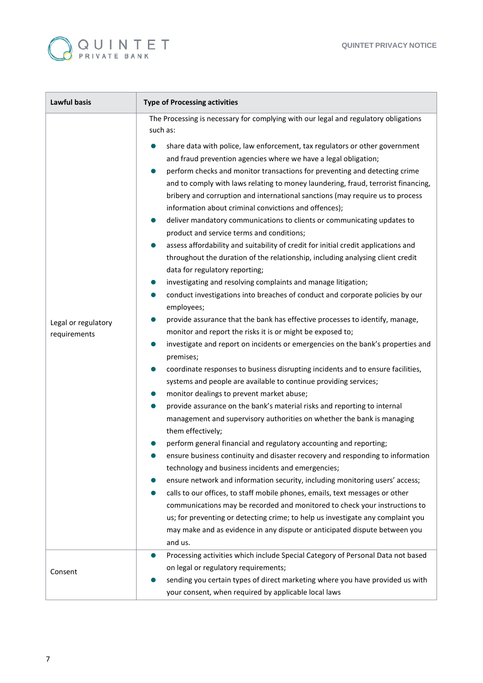

| <b>Lawful basis</b>                 | <b>Type of Processing activities</b>                                                                                                                                                                                                                                                                                                                                                                                                                                                                                                                                                                                                                                                                                                                                                                                                                                                                                                                                                                                                                                                                                                                                                                                                                                                                                                                                                                                                                                                                                                                                                                                                                                                                                                                                                                                                                                                                                                                                                                                                                                                                                                                                                                                                              |
|-------------------------------------|---------------------------------------------------------------------------------------------------------------------------------------------------------------------------------------------------------------------------------------------------------------------------------------------------------------------------------------------------------------------------------------------------------------------------------------------------------------------------------------------------------------------------------------------------------------------------------------------------------------------------------------------------------------------------------------------------------------------------------------------------------------------------------------------------------------------------------------------------------------------------------------------------------------------------------------------------------------------------------------------------------------------------------------------------------------------------------------------------------------------------------------------------------------------------------------------------------------------------------------------------------------------------------------------------------------------------------------------------------------------------------------------------------------------------------------------------------------------------------------------------------------------------------------------------------------------------------------------------------------------------------------------------------------------------------------------------------------------------------------------------------------------------------------------------------------------------------------------------------------------------------------------------------------------------------------------------------------------------------------------------------------------------------------------------------------------------------------------------------------------------------------------------------------------------------------------------------------------------------------------------|
|                                     | The Processing is necessary for complying with our legal and regulatory obligations<br>such as:                                                                                                                                                                                                                                                                                                                                                                                                                                                                                                                                                                                                                                                                                                                                                                                                                                                                                                                                                                                                                                                                                                                                                                                                                                                                                                                                                                                                                                                                                                                                                                                                                                                                                                                                                                                                                                                                                                                                                                                                                                                                                                                                                   |
| Legal or regulatory<br>requirements | share data with police, law enforcement, tax regulators or other government<br>and fraud prevention agencies where we have a legal obligation;<br>perform checks and monitor transactions for preventing and detecting crime<br>$\bullet$<br>and to comply with laws relating to money laundering, fraud, terrorist financing,<br>bribery and corruption and international sanctions (may require us to process<br>information about criminal convictions and offences);<br>deliver mandatory communications to clients or communicating updates to<br>$\bullet$<br>product and service terms and conditions;<br>assess affordability and suitability of credit for initial credit applications and<br>throughout the duration of the relationship, including analysing client credit<br>data for regulatory reporting;<br>investigating and resolving complaints and manage litigation;<br>conduct investigations into breaches of conduct and corporate policies by our<br>employees;<br>provide assurance that the bank has effective processes to identify, manage,<br>monitor and report the risks it is or might be exposed to;<br>investigate and report on incidents or emergencies on the bank's properties and<br>premises;<br>coordinate responses to business disrupting incidents and to ensure facilities,<br>systems and people are available to continue providing services;<br>monitor dealings to prevent market abuse;<br>provide assurance on the bank's material risks and reporting to internal<br>management and supervisory authorities on whether the bank is managing<br>them effectively;<br>perform general financial and regulatory accounting and reporting;<br>ensure business continuity and disaster recovery and responding to information<br>technology and business incidents and emergencies;<br>ensure network and information security, including monitoring users' access;<br>calls to our offices, to staff mobile phones, emails, text messages or other<br>communications may be recorded and monitored to check your instructions to<br>us; for preventing or detecting crime; to help us investigate any complaint you<br>may make and as evidence in any dispute or anticipated dispute between you |
|                                     | and us.                                                                                                                                                                                                                                                                                                                                                                                                                                                                                                                                                                                                                                                                                                                                                                                                                                                                                                                                                                                                                                                                                                                                                                                                                                                                                                                                                                                                                                                                                                                                                                                                                                                                                                                                                                                                                                                                                                                                                                                                                                                                                                                                                                                                                                           |
|                                     | Processing activities which include Special Category of Personal Data not based<br>$\bullet$<br>on legal or regulatory requirements;                                                                                                                                                                                                                                                                                                                                                                                                                                                                                                                                                                                                                                                                                                                                                                                                                                                                                                                                                                                                                                                                                                                                                                                                                                                                                                                                                                                                                                                                                                                                                                                                                                                                                                                                                                                                                                                                                                                                                                                                                                                                                                              |
| Consent                             | sending you certain types of direct marketing where you have provided us with<br>your consent, when required by applicable local laws                                                                                                                                                                                                                                                                                                                                                                                                                                                                                                                                                                                                                                                                                                                                                                                                                                                                                                                                                                                                                                                                                                                                                                                                                                                                                                                                                                                                                                                                                                                                                                                                                                                                                                                                                                                                                                                                                                                                                                                                                                                                                                             |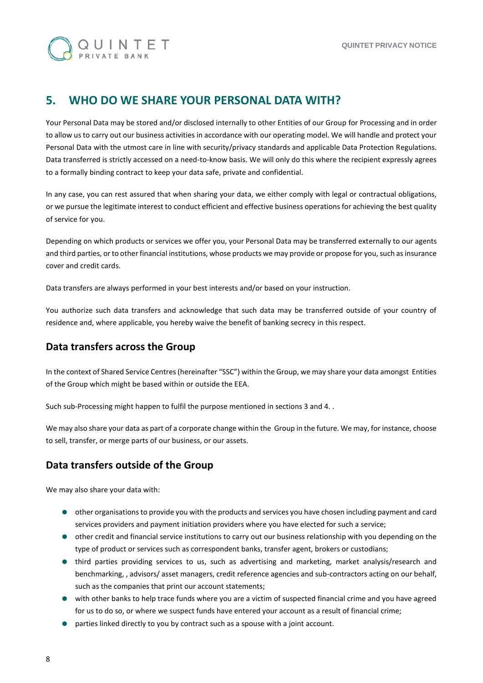

## <span id="page-7-0"></span>**5. WHO DO WE SHARE YOUR PERSONAL DATA WITH?**

Your Personal Data may be stored and/or disclosed internally to other Entities of our Group for Processing and in order to allow us to carry out our business activities in accordance with our operating model. We will handle and protect your Personal Data with the utmost care in line with security/privacy standards and applicable Data Protection Regulations. Data transferred is strictly accessed on a need-to-know basis. We will only do this where the recipient expressly agrees to a formally binding contract to keep your data safe, private and confidential.

In any case, you can rest assured that when sharing your data, we either comply with legal or contractual obligations, or we pursue the legitimate interest to conduct efficient and effective business operations for achieving the best quality of service for you.

Depending on which products or services we offer you, your Personal Data may be transferred externally to our agents and third parties, or to other financial institutions, whose products we may provide or propose for you, such as insurance cover and credit cards.

Data transfers are always performed in your best interests and/or based on your instruction.

You authorize such data transfers and acknowledge that such data may be transferred outside of your country of residence and, where applicable, you hereby waive the benefit of banking secrecy in this respect.

#### **Data transfers across the Group**

In the context of Shared Service Centres (hereinafter "SSC") within the Group, we may share your data amongst Entities of the Group which might be based within or outside the EEA.

Such sub-Processing might happen to fulfil the purpose mentioned in sections 3 and 4. .

We may also share your data as part of a corporate change within the Group in the future. We may, for instance, choose to sell, transfer, or merge parts of our business, or our assets.

#### **Data transfers outside of the Group**

We may also share your data with:

- other organisations to provide you with the products and services you have chosen including payment and card services providers and payment initiation providers where you have elected for such a service;
- other credit and financial service institutions to carry out our business relationship with you depending on the type of product or services such as correspondent banks, transfer agent, brokers or custodians;
- third parties providing services to us, such as advertising and marketing, market analysis/research and benchmarking, , advisors/ asset managers, credit reference agencies and sub-contractors acting on our behalf, such as the companies that print our account statements;
- with other banks to help trace funds where you are a victim of suspected financial crime and you have agreed for us to do so, or where we suspect funds have entered your account as a result of financial crime;
- parties linked directly to you by contract such as a spouse with a joint account.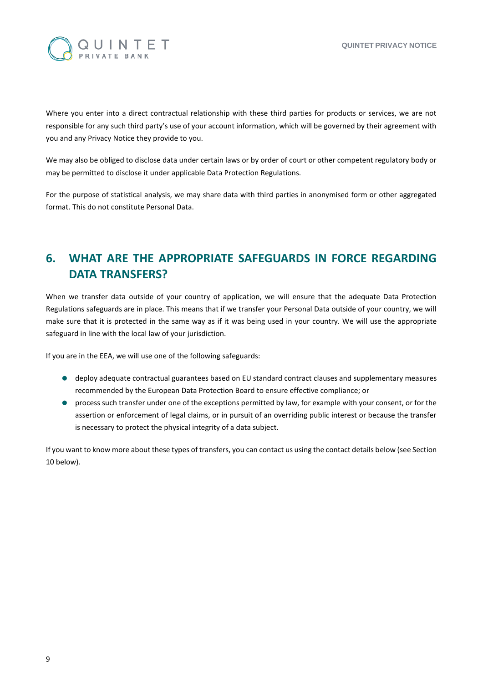

Where you enter into a direct contractual relationship with these third parties for products or services, we are not responsible for any such third party's use of your account information, which will be governed by their agreement with you and any Privacy Notice they provide to you.

We may also be obliged to disclose data under certain laws or by order of court or other competent regulatory body or may be permitted to disclose it under applicable Data Protection Regulations.

For the purpose of statistical analysis, we may share data with third parties in anonymised form or other aggregated format. This do not constitute Personal Data.

## <span id="page-8-0"></span>**6. WHAT ARE THE APPROPRIATE SAFEGUARDS IN FORCE REGARDING DATA TRANSFERS?**

When we transfer data outside of your country of application, we will ensure that the adequate Data Protection Regulations safeguards are in place. This means that if we transfer your Personal Data outside of your country, we will make sure that it is protected in the same way as if it was being used in your country. We will use the appropriate safeguard in line with the local law of your jurisdiction.

If you are in the EEA, we will use one of the following safeguards:

- deploy adequate contractual guarantees based on EU standard contract clauses and supplementary measures recommended by the European Data Protection Board to ensure effective compliance; or
- process such transfer under one of the exceptions permitted by law, for example with your consent, or for the assertion or enforcement of legal claims, or in pursuit of an overriding public interest or because the transfer is necessary to protect the physical integrity of a data subject.

If you want to know more about these types of transfers, you can contact us using the contact details below (see Section 10 below).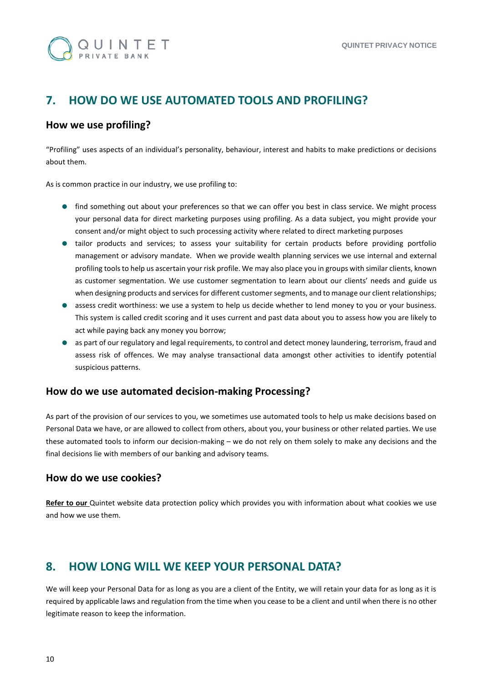

## <span id="page-9-0"></span>**7. HOW DO WE USE AUTOMATED TOOLS AND PROFILING?**

#### **How we use profiling?**

"Profiling" uses aspects of an individual's personality, behaviour, interest and habits to make predictions or decisions about them.

As is common practice in our industry, we use profiling to:

- **•** find something out about your preferences so that we can offer you best in class service. We might process your personal data for direct marketing purposes using profiling. As a data subject, you might provide your consent and/or might object to such processing activity where related to direct marketing purposes
- tailor products and services; to assess your suitability for certain products before providing portfolio management or advisory mandate. When we provide wealth planning services we use internal and external profiling tools to help us ascertain your risk profile. We may also place you in groups with similar clients, known as customer segmentation. We use customer segmentation to learn about our clients' needs and guide us when designing products and services for different customer segments, and to manage our client relationships;
- assess credit worthiness: we use a system to help us decide whether to lend money to you or your business. This system is called credit scoring and it uses current and past data about you to assess how you are likely to act while paying back any money you borrow;
- as part of our regulatory and legal requirements, to control and detect money laundering, terrorism, fraud and assess risk of offences. We may analyse transactional data amongst other activities to identify potential suspicious patterns.

#### **How do we use automated decision-making Processing?**

As part of the provision of our services to you, we sometimes use automated tools to help us make decisions based on Personal Data we have, or are allowed to collect from others, about you, your business or other related parties. We use these automated tools to inform our decision-making – we do not rely on them solely to make any decisions and the final decisions lie with members of our banking and advisory teams.

#### **How do we use cookies?**

**Refer to our** Quintet website data protection policy which provides you with information about what cookies we use and how we use them.

#### <span id="page-9-1"></span>**8. HOW LONG WILL WE KEEP YOUR PERSONAL DATA?**

We will keep your Personal Data for as long as you are a client of the Entity, we will retain your data for as long as it is required by applicable laws and regulation from the time when you cease to be a client and until when there is no other legitimate reason to keep the information.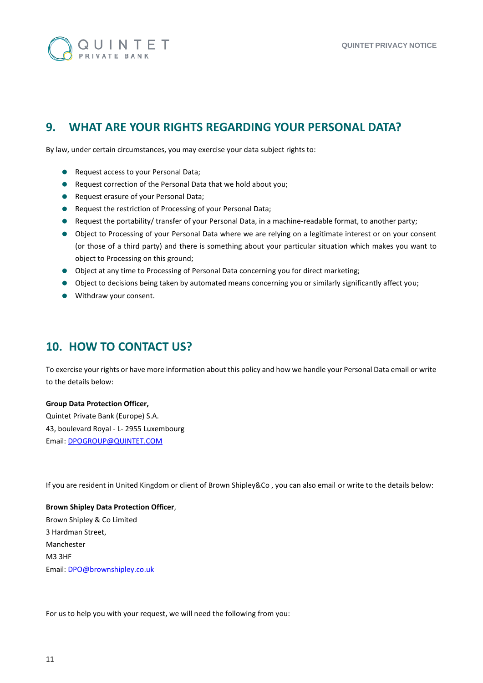

# <span id="page-10-0"></span>**9. WHAT ARE YOUR RIGHTS REGARDING YOUR PERSONAL DATA?**

By law, under certain circumstances, you may exercise your data subject rights to:

- **Request access to your Personal Data;**
- Request correction of the Personal Data that we hold about you;
- **•** Request erasure of your Personal Data;
- **•** Request the restriction of Processing of your Personal Data;
- Request the portability/ transfer of your Personal Data, in a machine-readable format, to another party;
- Object to Processing of your Personal Data where we are relying on a legitimate interest or on your consent (or those of a third party) and there is something about your particular situation which makes you want to object to Processing on this ground;
- Object at any time to Processing of Personal Data concerning you for direct marketing;
- Object to decisions being taken by automated means concerning you or similarly significantly affect you;
- Withdraw your consent.

#### <span id="page-10-1"></span>**10. HOW TO CONTACT US?**

To exercise your rights or have more information about this policy and how we handle your Personal Data email or write to the details below:

#### **Group Data Protection Officer,**

Quintet Private Bank (Europe) S.A. 43, boulevard Royal - L- 2955 Luxembourg Email: [DPOGROUP@QUINTET.COM](mailto:DPOGROUP@QUINTET.COM)

If you are resident in United Kingdom or client of Brown Shipley&Co , you can also email or write to the details below:

#### **Brown Shipley Data Protection Officer**,

Brown Shipley & Co Limited 3 Hardman Street, Manchester M3 3HF Email: DPO@brownshipley.co.uk

For us to help you with your request, we will need the following from you: